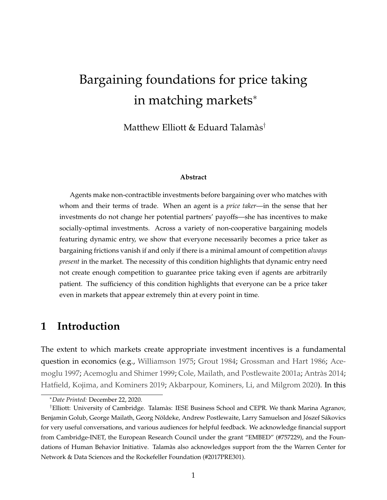# Bargaining foundations for price taking in matching markets<sup>∗</sup>

Matthew Elliott & Eduard Talamàs†

#### **Abstract**

Agents make non-contractible investments before bargaining over who matches with whom and their terms of trade. When an agent is a *price taker*—in the sense that her investments do not change her potential partners' payoffs—she has incentives to make socially-optimal investments. Across a variety of non-cooperative bargaining models featuring dynamic entry, we show that everyone necessarily becomes a price taker as bargaining frictions vanish if and only if there is a minimal amount of competition *always present* in the market. The necessity of this condition highlights that dynamic entry need not create enough competition to guarantee price taking even if agents are arbitrarily patient. The sufficiency of this condition highlights that everyone can be a price taker even in markets that appear extremely thin at every point in time.

### **1 Introduction**

The extent to which markets create appropriate investment incentives is a fundamental question in economics (e.g., [Williamson](#page-31-0) [1975;](#page-31-0) [Grout](#page-29-0) [1984;](#page-29-0) [Grossman and Hart](#page-29-1) [1986;](#page-29-1) [Ace](#page-28-0)[moglu](#page-28-0) [1997;](#page-28-0) [Acemoglu and Shimer](#page-28-1) [1999;](#page-28-1) [Cole, Mailath, and Postlewaite](#page-28-2) [2001a;](#page-28-2) [Antràs](#page-28-3) [2014;](#page-28-3) [Hatfield, Kojima, and Kominers](#page-29-2) [2019;](#page-29-2) [Akbarpour, Kominers, Li, and Milgrom](#page-28-4) [2020\)](#page-28-4). In this

<sup>∗</sup>*Date Printed:* December 22, 2020.

<sup>†</sup>Elliott: University of Cambridge. Talamàs: IESE Business School and CEPR. We thank Marina Agranov, Benjamin Golub, George Mailath, Georg Nöldeke, Andrew Postlewaite, Larry Samuelson and Jószef Sákovics for very useful conversations, and various audiences for helpful feedback. We acknowledge financial support from Cambridge-INET, the European Research Council under the grant "EMBED" (#757229), and the Foundations of Human Behavior Initiative. Talamàs also acknowledges support from the the Warren Center for Network & Data Sciences and the Rockefeller Foundation (#2017PRE301).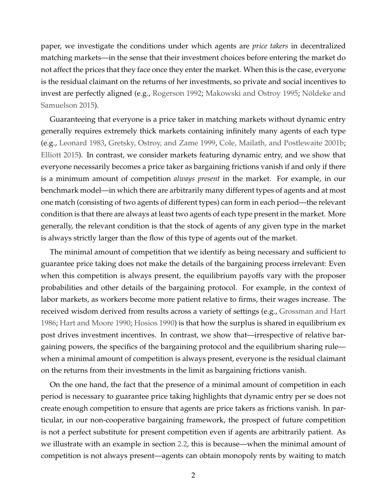paper, we investigate the conditions under which agents are *price takers* in decentralized matching markets—in the sense that their investment choices before entering the market do not affect the prices that they face once they enter the market. When this is the case, everyone is the residual claimant on the returns of her investments, so private and social incentives to invest are perfectly aligned (e.g., [Rogerson](#page-30-0) [1992;](#page-30-0) [Makowski and Ostroy](#page-30-1) [1995;](#page-30-1) [Nöldeke and](#page-30-2) [Samuelson](#page-30-2) [2015\)](#page-30-2).

Guaranteeing that everyone is a price taker in matching markets without dynamic entry generally requires extremely thick markets containing infinitely many agents of each type (e.g., [Leonard](#page-30-3) [1983,](#page-30-3) [Gretsky, Ostroy, and Zame](#page-29-3) [1999,](#page-29-3) [Cole, Mailath, and Postlewaite](#page-28-5) [2001b;](#page-28-5) [Elliott](#page-29-4) [2015\)](#page-29-4). In contrast, we consider markets featuring dynamic entry, and we show that everyone necessarily becomes a price taker as bargaining frictions vanish if and only if there is a minimum amount of competition *always present* in the market. For example, in our benchmark model—in which there are arbitrarily many different types of agents and at most one match (consisting of two agents of different types) can form in each period—the relevant condition is that there are always at least two agents of each type present in the market. More generally, the relevant condition is that the stock of agents of any given type in the market is always strictly larger than the flow of this type of agents out of the market.

The minimal amount of competition that we identify as being necessary and sufficient to guarantee price taking does not make the details of the bargaining process irrelevant: Even when this competition is always present, the equilibrium payoffs vary with the proposer probabilities and other details of the bargaining protocol. For example, in the context of labor markets, as workers become more patient relative to firms, their wages increase. The received wisdom derived from results across a variety of settings (e.g., [Grossman and Hart](#page-29-1) [1986;](#page-29-1) [Hart and Moore](#page-29-5) [1990;](#page-29-5) [Hosios](#page-29-6) [1990\)](#page-29-6) is that how the surplus is shared in equilibrium ex post drives investment incentives. In contrast, we show that—irrespective of relative bargaining powers, the specifics of the bargaining protocol and the equilibrium sharing rule when a minimal amount of competition is always present, everyone is the residual claimant on the returns from their investments in the limit as bargaining frictions vanish.

On the one hand, the fact that the presence of a minimal amount of competition in each period is necessary to guarantee price taking highlights that dynamic entry per se does not create enough competition to ensure that agents are price takers as frictions vanish. In particular, in our non-cooperative bargaining framework, the prospect of future competition is not a perfect substitute for present competition even if agents are arbitrarily patient. As we illustrate with an example in section [2.2,](#page-5-0) this is because—when the minimal amount of competition is not always present—agents can obtain monopoly rents by waiting to match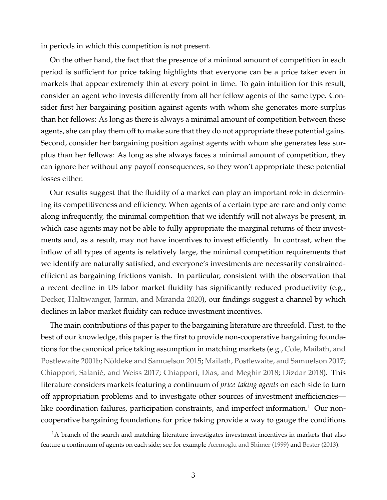in periods in which this competition is not present.

On the other hand, the fact that the presence of a minimal amount of competition in each period is sufficient for price taking highlights that everyone can be a price taker even in markets that appear extremely thin at every point in time. To gain intuition for this result, consider an agent who invests differently from all her fellow agents of the same type. Consider first her bargaining position against agents with whom she generates more surplus than her fellows: As long as there is always a minimal amount of competition between these agents, she can play them off to make sure that they do not appropriate these potential gains. Second, consider her bargaining position against agents with whom she generates less surplus than her fellows: As long as she always faces a minimal amount of competition, they can ignore her without any payoff consequences, so they won't appropriate these potential losses either.

Our results suggest that the fluidity of a market can play an important role in determining its competitiveness and efficiency. When agents of a certain type are rare and only come along infrequently, the minimal competition that we identify will not always be present, in which case agents may not be able to fully appropriate the marginal returns of their investments and, as a result, may not have incentives to invest efficiently. In contrast, when the inflow of all types of agents is relatively large, the minimal competition requirements that we identify are naturally satisfied, and everyone's investments are necessarily constrainedefficient as bargaining frictions vanish. In particular, consistent with the observation that a recent decline in US labor market fluidity has significantly reduced productivity (e.g., [Decker, Haltiwanger, Jarmin, and Miranda](#page-29-7) [2020\)](#page-29-7), our findings suggest a channel by which declines in labor market fluidity can reduce investment incentives.

The main contributions of this paper to the bargaining literature are threefold. First, to the best of our knowledge, this paper is the first to provide non-cooperative bargaining foundations for the canonical price taking assumption in matching markets (e.g., [Cole, Mailath, and](#page-28-5) [Postlewaite](#page-28-5) [2001b;](#page-28-5) [Nöldeke and Samuelson](#page-30-2) [2015;](#page-30-2) [Mailath, Postlewaite, and Samuelson](#page-30-4) [2017;](#page-30-4) [Chiappori, Salanié, and Weiss](#page-28-6) [2017;](#page-28-6) [Chiappori, Dias, and Meghir](#page-28-7) [2018;](#page-28-7) [Dizdar](#page-29-8) [2018\)](#page-29-8). This literature considers markets featuring a continuum of *price-taking agents* on each side to turn off appropriation problems and to investigate other sources of investment inefficiencies like coordination failures, participation constraints, and imperfect information.<sup>1</sup> Our noncooperative bargaining foundations for price taking provide a way to gauge the conditions

<sup>&</sup>lt;sup>1</sup>A branch of the search and matching literature investigates investment incentives in markets that also feature a continuum of agents on each side; see for example [Acemoglu and Shimer](#page-28-1) [\(1999\)](#page-28-1) and [Bester](#page-28-8) [\(2013\)](#page-28-8).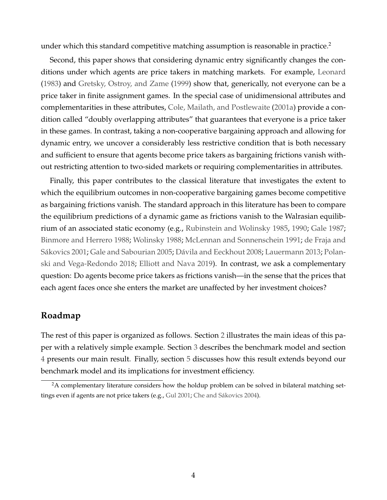under which this standard competitive matching assumption is reasonable in practice.<sup>2</sup>

Second, this paper shows that considering dynamic entry significantly changes the conditions under which agents are price takers in matching markets. For example, [Leonard](#page-30-3) [\(1983\)](#page-30-3) and [Gretsky, Ostroy, and Zame](#page-29-3) [\(1999\)](#page-29-3) show that, generically, not everyone can be a price taker in finite assignment games. In the special case of unidimensional attributes and complementarities in these attributes, [Cole, Mailath, and Postlewaite](#page-28-2) [\(2001a\)](#page-28-2) provide a condition called "doubly overlapping attributes" that guarantees that everyone is a price taker in these games. In contrast, taking a non-cooperative bargaining approach and allowing for dynamic entry, we uncover a considerably less restrictive condition that is both necessary and sufficient to ensure that agents become price takers as bargaining frictions vanish without restricting attention to two-sided markets or requiring complementarities in attributes.

Finally, this paper contributes to the classical literature that investigates the extent to which the equilibrium outcomes in non-cooperative bargaining games become competitive as bargaining frictions vanish. The standard approach in this literature has been to compare the equilibrium predictions of a dynamic game as frictions vanish to the Walrasian equilibrium of an associated static economy (e.g., [Rubinstein and Wolinsky](#page-30-5) [1985,](#page-30-5) [1990;](#page-30-6) [Gale](#page-29-9) [1987;](#page-29-9) [Binmore and Herrero](#page-28-9) [1988;](#page-28-9) [Wolinsky](#page-31-1) [1988;](#page-31-1) [McLennan and Sonnenschein](#page-30-7) [1991;](#page-30-7) [de Fraja and](#page-28-10) [Sákovics](#page-28-10) [2001;](#page-28-10) [Gale and Sabourian](#page-29-10) [2005;](#page-29-10) [Dávila and Eeckhout](#page-28-11) [2008;](#page-28-11) [Lauermann](#page-30-8) [2013;](#page-30-8) [Polan](#page-30-9)[ski and Vega-Redondo](#page-30-9) [2018;](#page-30-9) [Elliott and Nava](#page-29-11) [2019\)](#page-29-11). In contrast, we ask a complementary question: Do agents become price takers as frictions vanish—in the sense that the prices that each agent faces once she enters the market are unaffected by her investment choices?

#### **Roadmap**

The rest of this paper is organized as follows. Section [2](#page-4-0) illustrates the main ideas of this paper with a relatively simple example. Section [3](#page-8-0) describes the benchmark model and section [4](#page-11-0) presents our main result. Finally, section [5](#page-14-0) discusses how this result extends beyond our benchmark model and its implications for investment efficiency.

 $2A$  complementary literature considers how the holdup problem can be solved in bilateral matching settings even if agents are not price takers (e.g., [Gul](#page-29-12) [2001;](#page-29-12) [Che and Sákovics](#page-28-12) [2004\)](#page-28-12).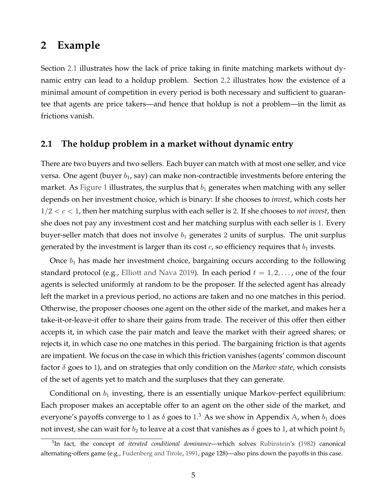#### <span id="page-4-0"></span>**2 Example**

Section [2.1](#page-4-1) illustrates how the lack of price taking in finite matching markets without dynamic entry can lead to a holdup problem. Section [2.2](#page-5-0) illustrates how the existence of a minimal amount of competition in every period is both necessary and sufficient to guarantee that agents are price takers—and hence that holdup is not a problem—in the limit as frictions vanish.

#### <span id="page-4-1"></span>**2.1 The holdup problem in a market without dynamic entry**

There are two buyers and two sellers. Each buyer can match with at most one seller, and vice versa. One agent (buyer  $b_1$ , say) can make non-contractible investments before entering the market. As [Figure 1](#page-5-1) illustrates, the surplus that  $b_1$  generates when matching with any seller depends on her investment choice, which is binary: If she chooses to *invest*, which costs her  $1/2 < c < 1$ , then her matching surplus with each seller is 2. If she chooses to *not invest*, then she does not pay any investment cost and her matching surplus with each seller is 1. Every buyer-seller match that does not involve  $b_1$  generates 2 units of surplus. The unit surplus generated by the investment is larger than its cost  $c$ , so efficiency requires that  $b_1$  invests.

Once  $b_1$  has made her investment choice, bargaining occurs according to the following standard protocol (e.g., [Elliott and Nava](#page-29-11) [2019\)](#page-29-11). In each period  $t = 1, 2, \ldots$ , one of the four agents is selected uniformly at random to be the proposer. If the selected agent has already left the market in a previous period, no actions are taken and no one matches in this period. Otherwise, the proposer chooses one agent on the other side of the market, and makes her a take-it-or-leave-it offer to share their gains from trade. The receiver of this offer then either accepts it, in which case the pair match and leave the market with their agreed shares; or rejects it, in which case no one matches in this period. The bargaining friction is that agents are impatient. We focus on the case in which this friction vanishes (agents' common discount factor δ goes to 1), and on strategies that only condition on the *Markov state*, which consists of the set of agents yet to match and the surpluses that they can generate.

Conditional on  $b_1$  investing, there is an essentially unique Markov-perfect equilibrium: Each proposer makes an acceptable offer to an agent on the other side of the market, and everyone's payoffs converge to 1 as  $\delta$  goes to 1.<sup>3</sup> As we show in Appendix [A,](#page-18-0) when  $b_1$  does not invest, she can wait for  $b_2$  to leave at a cost that vanishes as  $\delta$  goes to 1, at which point  $b_1$ 

<sup>3</sup> In fact, the concept of *iterated conditional dominance*—which solves [Rubinstein'](#page-30-10)s [\(1982\)](#page-30-10) canonical alternating-offers game (e.g., [Fudenberg and Tirole,](#page-29-13) [1991,](#page-29-13) page 128)—also pins down the payoffs in this case.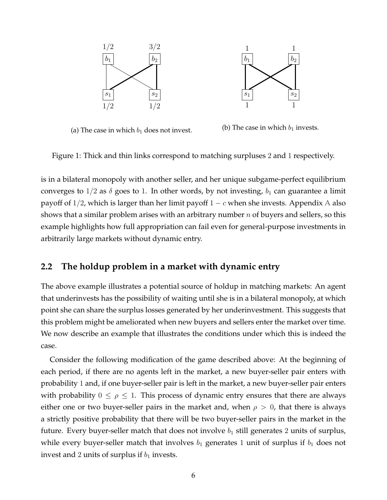<span id="page-5-1"></span>

(a) The case in which  $b_1$  does not invest.

(b) The case in which  $b_1$  invests.

Figure 1: Thick and thin links correspond to matching surpluses 2 and 1 respectively.

is in a bilateral monopoly with another seller, and her unique subgame-perfect equilibrium converges to  $1/2$  as  $\delta$  goes to 1. In other words, by not investing,  $b_1$  can guarantee a limit payoff of  $1/2$ , which is larger than her limit payoff  $1 - c$  when she invests. [A](#page-18-0)ppendix A also shows that a similar problem arises with an arbitrary number  $n$  of buyers and sellers, so this example highlights how full appropriation can fail even for general-purpose investments in arbitrarily large markets without dynamic entry.

#### <span id="page-5-0"></span>**2.2 The holdup problem in a market with dynamic entry**

The above example illustrates a potential source of holdup in matching markets: An agent that underinvests has the possibility of waiting until she is in a bilateral monopoly, at which point she can share the surplus losses generated by her underinvestment. This suggests that this problem might be ameliorated when new buyers and sellers enter the market over time. We now describe an example that illustrates the conditions under which this is indeed the case.

Consider the following modification of the game described above: At the beginning of each period, if there are no agents left in the market, a new buyer-seller pair enters with probability 1 and, if one buyer-seller pair is left in the market, a new buyer-seller pair enters with probability  $0 \leq \rho \leq 1$ . This process of dynamic entry ensures that there are always either one or two buyer-seller pairs in the market and, when  $\rho > 0$ , that there is always a strictly positive probability that there will be two buyer-seller pairs in the market in the future. Every buyer-seller match that does not involve  $b_1$  still generates 2 units of surplus, while every buyer-seller match that involves  $b_1$  generates 1 unit of surplus if  $b_1$  does not invest and 2 units of surplus if  $b_1$  invests.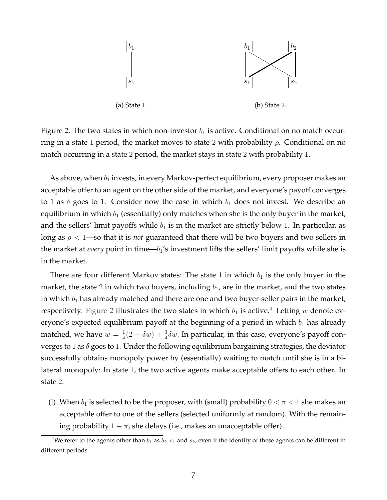<span id="page-6-0"></span>

Figure 2: The two states in which non-investor  $b_1$  is active. Conditional on no match occurring in a state 1 period, the market moves to state 2 with probability  $\rho$ . Conditional on no match occurring in a state 2 period, the market stays in state 2 with probability 1.

As above, when  $b_1$  invests, in every Markov-perfect equilibrium, every proposer makes an acceptable offer to an agent on the other side of the market, and everyone's payoff converges to 1 as  $\delta$  goes to 1. Consider now the case in which  $b_1$  does not invest. We describe an equilibrium in which  $b_1$  (essentially) only matches when she is the only buyer in the market, and the sellers' limit payoffs while  $b_1$  is in the market are strictly below 1. In particular, as long as  $\rho < 1$ —so that it is *not* guaranteed that there will be two buyers and two sellers in the market at *every* point in time— $b_1$ 's investment lifts the sellers' limit payoffs while she is in the market.

There are four different Markov states: The state 1 in which  $b_1$  is the only buyer in the market, the state 2 in which two buyers, including  $b_1$ , are in the market, and the two states in which  $b_1$  has already matched and there are one and two buyer-seller pairs in the market, respectively. [Figure 2](#page-6-0) illustrates the two states in which  $b_1$  is active.<sup>4</sup> Letting w denote everyone's expected equilibrium payoff at the beginning of a period in which  $b_1$  has already matched, we have  $w = \frac{1}{4}$  $\frac{1}{4}(2 - \delta w) + \frac{3}{4}\delta w$ . In particular, in this case, everyone's payoff converges to 1 as  $\delta$  goes to 1. Under the following equilibrium bargaining strategies, the deviator successfully obtains monopoly power by (essentially) waiting to match until she is in a bilateral monopoly: In state 1, the two active agents make acceptable offers to each other. In state 2:

(i) When  $b_1$  is selected to be the proposer, with (small) probability  $0 < \pi < 1$  she makes an acceptable offer to one of the sellers (selected uniformly at random). With the remaining probability  $1 - \pi$ , she delays (i.e., makes an unacceptable offer).

<sup>&</sup>lt;sup>4</sup>We refer to the agents other than  $b_1$  as  $b_2$ ,  $s_1$  and  $s_2$ , even if the identity of these agents can be different in different periods.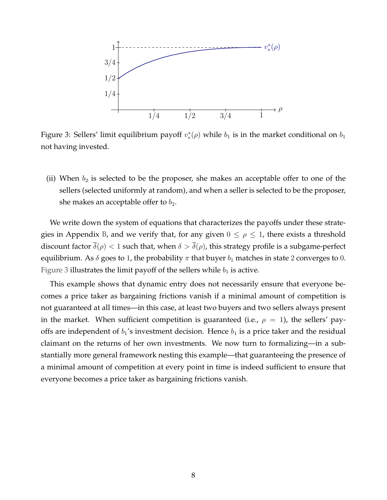<span id="page-7-0"></span>

Figure 3: Sellers' limit equilibrium payoff  $v_s^*(\rho)$  while  $b_1$  is in the market conditional on  $b_1$ not having invested.

(ii) When  $b_2$  is selected to be the proposer, she makes an acceptable offer to one of the sellers (selected uniformly at random), and when a seller is selected to be the proposer, she makes an acceptable offer to  $b_2$ .

We write down the system of equations that characterizes the payoffs under these strate-gies in Appendix [B,](#page-22-0) and we verify that, for any given  $0 \le \rho \le 1$ , there exists a threshold discount factor  $\bar{\delta}(\rho) < 1$  such that, when  $\delta > \bar{\delta}(\rho)$ , this strategy profile is a subgame-perfect equilibrium. As  $\delta$  goes to 1, the probability  $\pi$  that buyer  $b_1$  matches in state 2 converges to 0. [Figure 3](#page-7-0) illustrates the limit payoff of the sellers while  $b_1$  is active.

This example shows that dynamic entry does not necessarily ensure that everyone becomes a price taker as bargaining frictions vanish if a minimal amount of competition is not guaranteed at all times—in this case, at least two buyers and two sellers always present in the market. When sufficient competition is guaranteed (i.e.,  $\rho = 1$ ), the sellers' payoffs are independent of  $b_1$ 's investment decision. Hence  $b_1$  is a price taker and the residual claimant on the returns of her own investments. We now turn to formalizing—in a substantially more general framework nesting this example—that guaranteeing the presence of a minimal amount of competition at every point in time is indeed sufficient to ensure that everyone becomes a price taker as bargaining frictions vanish.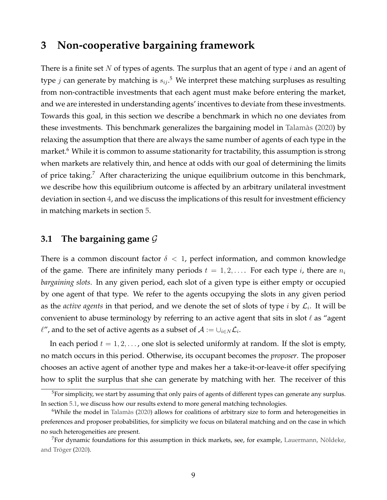### <span id="page-8-0"></span>**3 Non-cooperative bargaining framework**

There is a finite set N of types of agents. The surplus that an agent of type  $i$  and an agent of type  $j$  can generate by matching is  $s_{ij}.^5$  We interpret these matching surpluses as resulting from non-contractible investments that each agent must make before entering the market, and we are interested in understanding agents' incentives to deviate from these investments. Towards this goal, in this section we describe a benchmark in which no one deviates from these investments. This benchmark generalizes the bargaining model in [Talamàs](#page-31-2) [\(2020\)](#page-31-2) by relaxing the assumption that there are always the same number of agents of each type in the market.<sup>6</sup> While it is common to assume stationarity for tractability, this assumption is strong when markets are relatively thin, and hence at odds with our goal of determining the limits of price taking.<sup>7</sup> After characterizing the unique equilibrium outcome in this benchmark, we describe how this equilibrium outcome is affected by an arbitrary unilateral investment deviation in section [4,](#page-11-0) and we discuss the implications of this result for investment efficiency in matching markets in section [5.](#page-14-0)

#### **3.1 The bargaining game** G

There is a common discount factor  $\delta$  < 1, perfect information, and common knowledge of the game. There are infinitely many periods  $t = 1, 2, \ldots$ . For each type i, there are  $n_i$ *bargaining slots*. In any given period, each slot of a given type is either empty or occupied by one agent of that type. We refer to the agents occupying the slots in any given period as the *active agents* in that period, and we denote the set of slots of type *i* by  $\mathcal{L}_i$ . It will be convenient to abuse terminology by referring to an active agent that sits in slot  $\ell$  as "agent  $\ell^{\prime\prime}$ , and to the set of active agents as a subset of  $\mathcal{A}:=\cup_{i\in N} \mathcal{L}_i.$ 

In each period  $t = 1, 2, \ldots$ , one slot is selected uniformly at random. If the slot is empty, no match occurs in this period. Otherwise, its occupant becomes the *proposer*. The proposer chooses an active agent of another type and makes her a take-it-or-leave-it offer specifying how to split the surplus that she can generate by matching with her. The receiver of this

<sup>5</sup>For simplicity, we start by assuming that only pairs of agents of different types can generate any surplus. In section [5.1,](#page-14-1) we discuss how our results extend to more general matching technologies.

 $6$ While the model in [Talamàs](#page-31-2) [\(2020\)](#page-31-2) allows for coalitions of arbitrary size to form and heterogeneities in preferences and proposer probabilities, for simplicity we focus on bilateral matching and on the case in which no such heterogeneities are present.

 $7$ For dynamic foundations for this assumption in thick markets, see, for example, [Lauermann, Nöldeke,](#page-30-11) [and Tröger](#page-30-11) [\(2020\)](#page-30-11).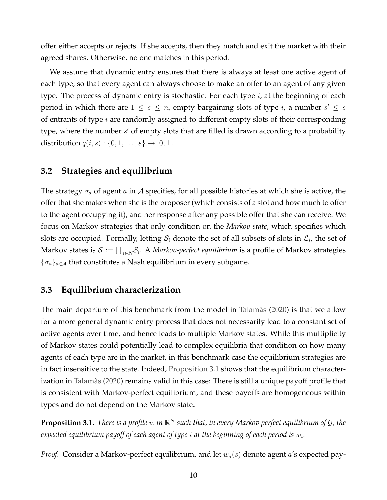offer either accepts or rejects. If she accepts, then they match and exit the market with their agreed shares. Otherwise, no one matches in this period.

We assume that dynamic entry ensures that there is always at least one active agent of each type, so that every agent can always choose to make an offer to an agent of any given type. The process of dynamic entry is stochastic: For each type  $i$ , at the beginning of each period in which there are  $1 \leq s \leq n_i$  empty bargaining slots of type i, a number  $s' \leq s$ of entrants of type  $i$  are randomly assigned to different empty slots of their corresponding type, where the number  $s'$  of empty slots that are filled is drawn according to a probability distribution  $q(i, s) : \{0, 1, ..., s\} \to [0, 1].$ 

#### **3.2 Strategies and equilibrium**

The strategy  $\sigma_a$  of agent a in A specifies, for all possible histories at which she is active, the offer that she makes when she is the proposer (which consists of a slot and how much to offer to the agent occupying it), and her response after any possible offer that she can receive. We focus on Markov strategies that only condition on the *Markov state*, which specifies which slots are occupied. Formally, letting  $\mathcal{S}_i$  denote the set of all subsets of slots in  $\mathcal{L}_i$ , the set of Markov states is  $\mathcal{S}:=\prod_{i\in N}\mathcal{S}_i.$  A *Markov-perfect equilibrium* is a profile of Markov strategies  $\{\sigma_a\}_{a \in \mathcal{A}}$  that constitutes a Nash equilibrium in every subgame.

#### **3.3 Equilibrium characterization**

The main departure of this benchmark from the model in [Talamàs](#page-31-2) [\(2020\)](#page-31-2) is that we allow for a more general dynamic entry process that does not necessarily lead to a constant set of active agents over time, and hence leads to multiple Markov states. While this multiplicity of Markov states could potentially lead to complex equilibria that condition on how many agents of each type are in the market, in this benchmark case the equilibrium strategies are in fact insensitive to the state. Indeed, [Proposition 3.1](#page-9-0) shows that the equilibrium characterization in [Talamàs](#page-31-2) [\(2020\)](#page-31-2) remains valid in this case: There is still a unique payoff profile that is consistent with Markov-perfect equilibrium, and these payoffs are homogeneous within types and do not depend on the Markov state.

<span id="page-9-0"></span>**Proposition 3.1.** There is a profile  $w$  in  $\mathbb{R}^N$  such that, in every Markov perfect equilibrium of  $\mathcal{G}$ , the expected equilibrium payoff of each agent of type  $i$  at the beginning of each period is  $w_i.$ 

*Proof.* Consider a Markov-perfect equilibrium, and let  $w_a(s)$  denote agent a's expected pay-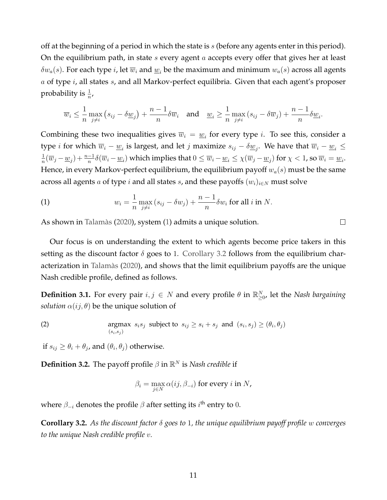off at the beginning of a period in which the state is  $s$  (before any agents enter in this period). On the equilibrium path, in state  $s$  every agent  $a$  accepts every offer that gives her at least  $\delta w_a(s)$ . For each type i, let  $\overline{w}_i$  and  $\underline{w}_i$  be the maximum and minimum  $w_a(s)$  across all agents  $a$  of type  $i$ , all states  $s$ , and all Markov-perfect equilibria. Given that each agent's proposer probability is  $\frac{1}{n}$ ,

$$
\overline{w}_i \leq \frac{1}{n} \max_{j \neq i} \left( s_{ij} - \delta \underline{w}_j \right) + \frac{n-1}{n} \delta \overline{w}_i \quad \text{and} \quad \underline{w}_i \geq \frac{1}{n} \max_{j \neq i} \left( s_{ij} - \delta \overline{w}_j \right) + \frac{n-1}{n} \delta \underline{w}_i.
$$

Combining these two inequalities gives  $\overline{w}_i = \underline{w}_i$  for every type *i*. To see this, consider a type *i* for which  $\overline{w}_i - \underline{w}_i$  is largest, and let *j* maximize  $s_{ij} - \delta \underline{w}_j$ . We have that  $\overline{w}_i - \underline{w}_i \le$ 1  $\frac{1}{n}(\overline{w}_j-\underline{w}_j)+\frac{n-1}{n}\delta(\overline{w}_i-\underline{w}_i)$  which implies that  $0\leq \overline{w}_i-\underline{w}_i\leq \chi(\overline{w}_j-\underline{w}_j)$  for  $\chi < 1$ , so  $\overline{w}_i=\underline{w}_i$ . Hence, in every Markov-perfect equilibrium, the equilibrium payoff  $w_a(s)$  must be the same across all agents  $a$  of type  $i$  and all states  $s$ , and these payoffs  $(w_i)_{i\in N}$  must solve

<span id="page-10-0"></span>(1) 
$$
w_i = \frac{1}{n} \max_{j \neq i} (s_{ij} - \delta w_j) + \frac{n-1}{n} \delta w_i \text{ for all } i \text{ in } N.
$$

As shown in [Talamàs](#page-31-2) [\(2020\)](#page-31-2), system [\(1\)](#page-10-0) admits a unique solution.

Our focus is on understanding the extent to which agents become price takers in this setting as the discount factor  $\delta$  goes to 1. [Corollary 3.2](#page-10-1) follows from the equilibrium characterization in [Talamàs](#page-31-2) [\(2020\)](#page-31-2), and shows that the limit equilibrium payoffs are the unique Nash credible profile, defined as follows.

**Definition 3.1.** For every pair  $i, j \in N$  and every profile  $\theta$  in  $\mathbb{R}^N_{\geq 0}$ , let the *Nash bargaining solution*  $\alpha(ij, \theta)$  be the unique solution of

(2) 
$$
\operatorname*{argmax}_{(s_i, s_j)} s_i s_j \text{ subject to } s_{ij} \geq s_i + s_j \text{ and } (s_i, s_j) \geq (\theta_i, \theta_j)
$$

if  $s_{ij} \geq \theta_i + \theta_j$ , and  $(\theta_i, \theta_j)$  otherwise.

**Definition 3.2.** The payoff profile  $\beta$  in  $\mathbb{R}^N$  is *Nash credible* if

$$
\beta_i = \max_{j \in N} \alpha(ij, \beta_{-i})
$$
 for every  $i$  in  $N$ ,

where  $\beta_{-i}$  denotes the profile  $\beta$  after setting its  $i^{\text{th}}$  entry to  $0.$ 

<span id="page-10-1"></span>**Corollary 3.2.** *As the discount factor* δ *goes to* 1*, the unique equilibrium payoff profile* w *converges to the unique Nash credible profile* v*.*

 $\Box$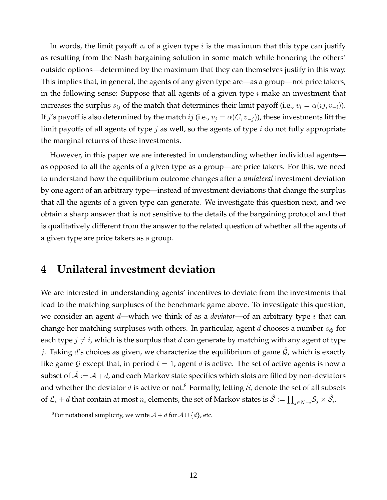In words, the limit payoff  $v_i$  of a given type  $i$  is the maximum that this type can justify as resulting from the Nash bargaining solution in some match while honoring the others' outside options—determined by the maximum that they can themselves justify in this way. This implies that, in general, the agents of any given type are—as a group—not price takers, in the following sense: Suppose that all agents of a given type  $i$  make an investment that increases the surplus  $s_{ij}$  of the match that determines their limit payoff (i.e.,  $v_i = \alpha(ij, v_{-i})$ ). If j's payoff is also determined by the match ij (i.e.,  $v_j = \alpha(C, v_{-j})$ ), these investments lift the limit payoffs of all agents of type  $j$  as well, so the agents of type  $i$  do not fully appropriate the marginal returns of these investments.

However, in this paper we are interested in understanding whether individual agents as opposed to all the agents of a given type as a group—are price takers. For this, we need to understand how the equilibrium outcome changes after a *unilateral* investment deviation by one agent of an arbitrary type—instead of investment deviations that change the surplus that all the agents of a given type can generate. We investigate this question next, and we obtain a sharp answer that is not sensitive to the details of the bargaining protocol and that is qualitatively different from the answer to the related question of whether all the agents of a given type are price takers as a group.

### <span id="page-11-0"></span>**4 Unilateral investment deviation**

We are interested in understanding agents' incentives to deviate from the investments that lead to the matching surpluses of the benchmark game above. To investigate this question, we consider an agent d—which we think of as a *deviator*—of an arbitrary type i that can change her matching surpluses with others. In particular, agent d chooses a number  $s_{dj}$  for each type  $j \neq i$ , which is the surplus that d can generate by matching with any agent of type j. Taking  $d'$ s choices as given, we characterize the equilibrium of game  $\mathcal G$ , which is exactly like game G except that, in period  $t = 1$ , agent d is active. The set of active agents is now a subset of  $A := A + d$ , and each Markov state specifies which slots are filled by non-deviators and whether the deviator  $d$  is active or not. $^8$  Formally, letting  $\hat{\mathcal{S}_i}$  denote the set of all subsets of  ${\cal L}_i+d$  that contain at most  $n_i$  elements, the set of Markov states is  $\hat{\cal S}:=\prod_{j\in N-i}{\cal S}_j\times\hat{\cal S}_i.$ 

<sup>&</sup>lt;sup>8</sup>For notational simplicity, we write  $A + d$  for  $A \cup \{d\}$ , etc.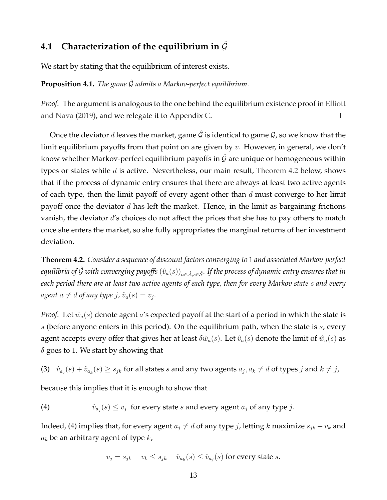### **4.1 Characterization of the equilibrium in**  $\hat{\mathcal{G}}$

We start by stating that the equilibrium of interest exists.

**Proposition 4.1.** *The game*  $\hat{G}$  *admits a Markov-perfect equilibrium.* 

*Proof.* The argument is analogous to the one behind the equilibrium existence proof in [Elliott](#page-29-11) [and Nava](#page-29-11) [\(2019\)](#page-29-11), and we relegate it to Appendix [C.](#page-24-0)  $\Box$ 

Once the deviator d leaves the market, game  $\hat{G}$  is identical to game  $\mathcal{G}$ , so we know that the limit equilibrium payoffs from that point on are given by  $v$ . However, in general, we don't know whether Markov-perfect equilibrium payoffs in  $\mathcal G$  are unique or homogeneous within types or states while  $d$  is active. Nevertheless, our main result, [Theorem 4.2](#page-12-0) below, shows that if the process of dynamic entry ensures that there are always at least two active agents of each type, then the limit payoff of every agent other than  $d$  must converge to her limit payoff once the deviator  $d$  has left the market. Hence, in the limit as bargaining frictions vanish, the deviator d's choices do not affect the prices that she has to pay others to match once she enters the market, so she fully appropriates the marginal returns of her investment deviation.

<span id="page-12-0"></span>**Theorem 4.2.** *Consider a sequence of discount factors converging to* 1 *and associated Markov-perfect equilibria of*  $\hat{G}$  *with converging payoffs*  $(\hat{v}_a(s))_{a \in \hat{\mathcal{A}}, s \in \hat{\mathcal{S}}}$ *. If the process of dynamic entry ensures that in each period there are at least two active agents of each type, then for every Markov state* s *and every*  $a$ gent  $a \neq d$  of any type  $j$ ,  $\hat{v}_a(s) = v_j$ .

*Proof.* Let  $\hat{w}_a(s)$  denote agent a's expected payoff at the start of a period in which the state is  $s$  (before anyone enters in this period). On the equilibrium path, when the state is  $s$ , every agent accepts every offer that gives her at least  $\delta \hat{w}_a(s)$ . Let  $\hat{v}_a(s)$  denote the limit of  $\hat{w}_a(s)$  as  $\delta$  goes to 1. We start by showing that

<span id="page-12-2"></span>(3)  $\hat{v}_{a_j}(s) + \hat{v}_{a_k}(s) \geq s_{jk}$  for all states s and any two agents  $a_j, a_k \neq d$  of types j and  $k \neq j$ ,

because this implies that it is enough to show that

<span id="page-12-1"></span>(4)  $\hat{v}_{a_j}(s) \le v_j$  for every state s and every agent  $a_j$  of any type j.

Indeed, [\(4\)](#page-12-1) implies that, for every agent  $a_j \neq d$  of any type j, letting k maximize  $s_{jk} - v_k$  and  $a_k$  be an arbitrary agent of type  $k$ ,

$$
v_j = s_{jk} - v_k \le s_{jk} - \hat{v}_{a_k}(s) \le \hat{v}_{a_j}(s)
$$
 for every state s.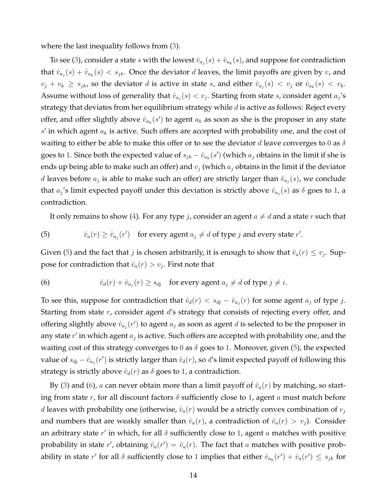where the last inequality follows from [\(3\)](#page-12-2).

To see [\(3\)](#page-12-2), consider a state  $s$  with the lowest  $\hat{v}_{a_j}(s) + \hat{v}_{a_k}(s)$ , and suppose for contradiction that  $\hat{v}_{a_j}(s) + \hat{v}_{a_k}(s) < s_{jk}$ . Once the deviator d leaves, the limit payoffs are given by  $v$ , and  $v_j + v_k \geq s_{jk}$ , so the deviator d is active in state s, and either  $\hat{v}_{a_j}(s) < v_j$  or  $\hat{v}_{a_k}(s) < v_k$ . Assume without loss of generality that  $\hat{v}_{a_j}(s) < v_j$ . Starting from state s, consider agent  $a_j$ 's strategy that deviates from her equilibrium strategy while  $d$  is active as follows: Reject every offer, and offer slightly above  $\hat{v}_{a_k}(s')$  to agent  $a_k$  as soon as she is the proposer in any state  $s'$  in which agent  $a_k$  is active. Such offers are accepted with probability one, and the cost of waiting to either be able to make this offer or to see the deviator d leave converges to 0 as  $\delta$ goes to 1. Since both the expected value of  $s_{jk} - \hat{v}_{a_k}(s')$  (which  $a_j$  obtains in the limit if she is ends up being able to make such an offer) and  $v_j$  (which  $a_j$  obtains in the limit if the deviator d leaves before  $a_j$  is able to make such an offer) are strictly larger than  $\hat{v}_{a_j}(s)$ , we conclude that  $a_j$ 's limit expected payoff under this deviation is strictly above  $\hat{v}_{a_j}(s)$  as  $\delta$  goes to 1, a contradiction.

It only remains to show [\(4\)](#page-12-1). For any type *j*, consider an agent  $a \neq d$  and a state *r* such that

<span id="page-13-0"></span>(5) 
$$
\hat{v}_a(r) \ge \hat{v}_{a_j}(r')
$$
 for every agent  $a_j \ne d$  of type *j* and every state *r'*.

Given [\(5\)](#page-13-0) and the fact that  $j$  is chosen arbitrarily, it is enough to show that  $\hat{v}_a(r) \leq v_j$ . Suppose for contradiction that  $\hat{v}_a(r) > v_j$ . First note that

<span id="page-13-1"></span>(6) 
$$
\hat{v}_d(r) + \hat{v}_{a_j}(r) \geq s_{d_j} \quad \text{for every agent } a_j \neq d \text{ of type } j \neq i.
$$

To see this, suppose for contradiction that  $\hat{v}_d(r) < s_{dj} - \hat{v}_{a_j}(r)$  for some agent  $a_j$  of type j. Starting from state  $r$ , consider agent  $d$ 's strategy that consists of rejecting every offer, and offering slightly above  $\hat{v}_{a_j}(r')$  to agent  $a_j$  as soon as agent  $d$  is selected to be the proposer in any state  $r'$  in which agent  $a_j$  is active. Such offers are accepted with probability one, and the waiting cost of this strategy converges to 0 as  $\delta$  goes to 1. Moreover, given [\(5\)](#page-13-0), the expected value of  $s_{dj} - \hat{v}_{aj}(r')$  is strictly larger than  $\hat{v}_d(r)$ , so d's limit expected payoff of following this strategy is strictly above  $\hat{v}_d(r)$  as  $\delta$  goes to 1, a contradiction.

By [\(3\)](#page-12-2) and [\(6\)](#page-13-1), a can never obtain more than a limit payoff of  $\hat{v}_a(r)$  by matching, so starting from state r, for all discount factors  $\delta$  sufficiently close to 1, agent a must match before d leaves with probability one (otherwise,  $\hat{v}_a(r)$  would be a strictly convex combination of  $v_i$ and numbers that are weakly smaller than  $\hat{v}_a(r)$ , a contradiction of  $\hat{v}_a(r) > v_i$ ). Consider an arbitrary state  $r'$  in which, for all  $\delta$  sufficiently close to 1, agent  $a$  matches with positive probability in state r', obtaining  $\hat{v}_a(r') = \hat{v}_a(r)$ . The fact that a matches with positive probability in state  $r'$  for all  $\delta$  sufficiently close to 1 implies that either  $\hat{v}_{a_k}(r') + \hat{v}_a(r') \leq s_{jk}$  for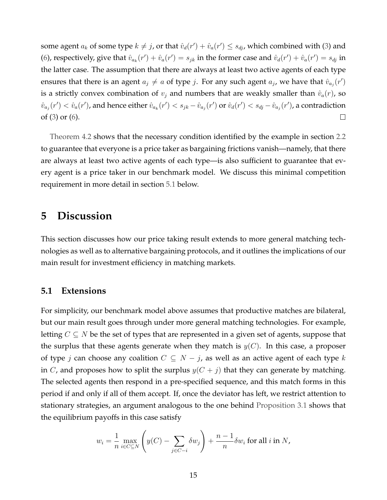some agent  $a_k$  of some type  $k \neq j$ , or that  $\hat{v}_d(r') + \hat{v}_a(r') \leq s_{dj}$ , which combined with [\(3\)](#page-12-2) and [\(6\)](#page-13-1), respectively, give that  $\hat{v}_{a_k}(r') + \hat{v}_a(r') = s_{jk}$  in the former case and  $\hat{v}_a(r') + \hat{v}_a(r') = s_{dj}$  in the latter case. The assumption that there are always at least two active agents of each type ensures that there is an agent  $a_j \neq a$  of type j. For any such agent  $a_j$ , we have that  $\hat{v}_{a_j}(r')$ is a strictly convex combination of  $v_j$  and numbers that are weakly smaller than  $\hat{v}_a(r)$ , so  $\hat{v}_{a_j}(r')<\hat{v}_a(r')$ , and hence either  $\hat{v}_{a_k}(r')< s_{jk}-\hat{v}_{a_j}(r')$  or  $\hat{v}_d(r')< s_{dj}-\hat{v}_{a_j}(r')$ , a contradiction of [\(3\)](#page-12-2) or [\(6\)](#page-13-1).  $\Box$ 

[Theorem 4.2](#page-12-0) shows that the necessary condition identified by the example in section [2.2](#page-5-0) to guarantee that everyone is a price taker as bargaining frictions vanish—namely, that there are always at least two active agents of each type—is also sufficient to guarantee that every agent is a price taker in our benchmark model. We discuss this minimal competition requirement in more detail in section [5.1](#page-14-1) below.

### <span id="page-14-0"></span>**5 Discussion**

This section discusses how our price taking result extends to more general matching technologies as well as to alternative bargaining protocols, and it outlines the implications of our main result for investment efficiency in matching markets.

#### <span id="page-14-1"></span>**5.1 Extensions**

For simplicity, our benchmark model above assumes that productive matches are bilateral, but our main result goes through under more general matching technologies. For example, letting  $C \subseteq N$  be the set of types that are represented in a given set of agents, suppose that the surplus that these agents generate when they match is  $y(C)$ . In this case, a proposer of type j can choose any coalition  $C \subseteq N - j$ , as well as an active agent of each type k in C, and proposes how to split the surplus  $y(C + j)$  that they can generate by matching. The selected agents then respond in a pre-specified sequence, and this match forms in this period if and only if all of them accept. If, once the deviator has left, we restrict attention to stationary strategies, an argument analogous to the one behind [Proposition 3.1](#page-9-0) shows that the equilibrium payoffs in this case satisfy

$$
w_i = \frac{1}{n} \max_{i \in C \subseteq N} \left( y(C) - \sum_{j \in C - i} \delta w_j \right) + \frac{n-1}{n} \delta w_i \text{ for all } i \text{ in } N,
$$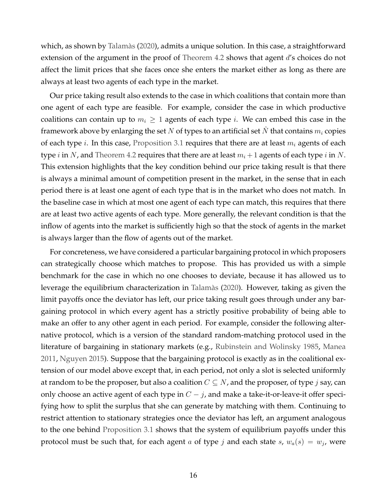which, as shown by [Talamàs](#page-31-2) [\(2020\)](#page-31-2), admits a unique solution. In this case, a straightforward extension of the argument in the proof of [Theorem 4.2](#page-12-0) shows that agent d's choices do not affect the limit prices that she faces once she enters the market either as long as there are always at least two agents of each type in the market.

Our price taking result also extends to the case in which coalitions that contain more than one agent of each type are feasible. For example, consider the case in which productive coalitions can contain up to  $m_i \geq 1$  agents of each type *i*. We can embed this case in the framework above by enlarging the set N of types to an artificial set  $N$  that contains  $m_i$  copies of each type *i*. In this case, [Proposition 3.1](#page-9-0) requires that there are at least  $m_i$  agents of each type i in N, and [Theorem 4.2](#page-12-0) requires that there are at least  $m_i + 1$  agents of each type i in N. This extension highlights that the key condition behind our price taking result is that there is always a minimal amount of competition present in the market, in the sense that in each period there is at least one agent of each type that is in the market who does not match. In the baseline case in which at most one agent of each type can match, this requires that there are at least two active agents of each type. More generally, the relevant condition is that the inflow of agents into the market is sufficiently high so that the stock of agents in the market is always larger than the flow of agents out of the market.

For concreteness, we have considered a particular bargaining protocol in which proposers can strategically choose which matches to propose. This has provided us with a simple benchmark for the case in which no one chooses to deviate, because it has allowed us to leverage the equilibrium characterization in [Talamàs](#page-31-2) [\(2020\)](#page-31-2). However, taking as given the limit payoffs once the deviator has left, our price taking result goes through under any bargaining protocol in which every agent has a strictly positive probability of being able to make an offer to any other agent in each period. For example, consider the following alternative protocol, which is a version of the standard random-matching protocol used in the literature of bargaining in stationary markets (e.g., [Rubinstein and Wolinsky](#page-30-5) [1985,](#page-30-5) [Manea](#page-30-12) [2011,](#page-30-12) [Nguyen](#page-30-13) [2015\)](#page-30-13). Suppose that the bargaining protocol is exactly as in the coalitional extension of our model above except that, in each period, not only a slot is selected uniformly at random to be the proposer, but also a coalition  $C \subseteq N$ , and the proposer, of type j say, can only choose an active agent of each type in  $C - j$ , and make a take-it-or-leave-it offer specifying how to split the surplus that she can generate by matching with them. Continuing to restrict attention to stationary strategies once the deviator has left, an argument analogous to the one behind [Proposition 3.1](#page-9-0) shows that the system of equilibrium payoffs under this protocol must be such that, for each agent  $a$  of type  $j$  and each state  $s$ ,  $w_a(s) = w_j$ , were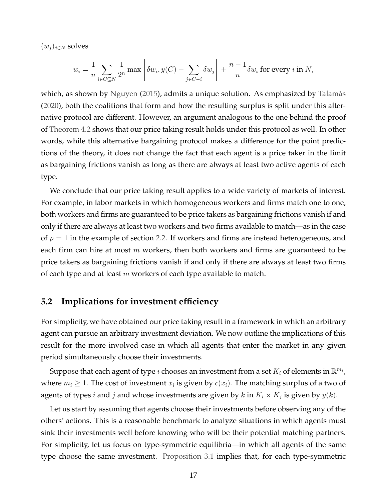$(w_j)_{j\in N}$  solves

$$
w_i = \frac{1}{n} \sum_{i \in C \subseteq N} \frac{1}{2^n} \max \left[ \delta w_i, y(C) - \sum_{j \in C - i} \delta w_j \right] + \frac{n-1}{n} \delta w_i \text{ for every } i \text{ in } N,
$$

which, as shown by [Nguyen](#page-30-13) [\(2015\)](#page-30-13), admits a unique solution. As emphasized by [Talamàs](#page-31-2) [\(2020\)](#page-31-2), both the coalitions that form and how the resulting surplus is split under this alternative protocol are different. However, an argument analogous to the one behind the proof of [Theorem 4.2](#page-12-0) shows that our price taking result holds under this protocol as well. In other words, while this alternative bargaining protocol makes a difference for the point predictions of the theory, it does not change the fact that each agent is a price taker in the limit as bargaining frictions vanish as long as there are always at least two active agents of each type.

We conclude that our price taking result applies to a wide variety of markets of interest. For example, in labor markets in which homogeneous workers and firms match one to one, both workers and firms are guaranteed to be price takers as bargaining frictions vanish if and only if there are always at least two workers and two firms available to match—as in the case of  $\rho = 1$  in the example of section [2.2.](#page-5-0) If workers and firms are instead heterogeneous, and each firm can hire at most  $m$  workers, then both workers and firms are guaranteed to be price takers as bargaining frictions vanish if and only if there are always at least two firms of each type and at least  $m$  workers of each type available to match.

#### **5.2 Implications for investment efficiency**

For simplicity, we have obtained our price taking result in a framework in which an arbitrary agent can pursue an arbitrary investment deviation. We now outline the implications of this result for the more involved case in which all agents that enter the market in any given period simultaneously choose their investments.

Suppose that each agent of type  $i$  chooses an investment from a set  $K_i$  of elements in  $\mathbb{R}^{m_i}$ , where  $m_i \geq 1$ . The cost of investment  $x_i$  is given by  $c(x_i)$ . The matching surplus of a two of agents of types i and j and whose investments are given by  $k$  in  $K_i \times K_j$  is given by  $y(k)$ .

Let us start by assuming that agents choose their investments before observing any of the others' actions. This is a reasonable benchmark to analyze situations in which agents must sink their investments well before knowing who will be their potential matching partners. For simplicity, let us focus on type-symmetric equilibria—in which all agents of the same type choose the same investment. [Proposition 3.1](#page-9-0) implies that, for each type-symmetric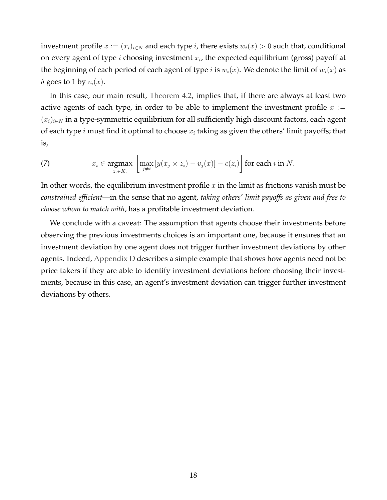investment profile  $x := (x_i)_{i \in N}$  and each type i, there exists  $w_i(x) > 0$  such that, conditional on every agent of type i choosing investment  $x_i$ , the expected equilibrium (gross) payoff at the beginning of each period of each agent of type *i* is  $w_i(x)$ . We denote the limit of  $w_i(x)$  as  $\delta$  goes to 1 by  $v_i(x)$ .

In this case, our main result, [Theorem 4.2,](#page-12-0) implies that, if there are always at least two active agents of each type, in order to be able to implement the investment profile  $x :=$  $(x_i)_{i\in\mathbb{N}}$  in a type-symmetric equilibrium for all sufficiently high discount factors, each agent of each type *i* must find it optimal to choose  $x_i$  taking as given the others' limit payoffs; that is,

(7) 
$$
x_i \in \underset{z_i \in K_i}{\operatorname{argmax}} \left[ \max_{j \neq i} \left[ y(x_j \times z_i) - v_j(x) \right] - c(z_i) \right] \text{ for each } i \text{ in } N.
$$

In other words, the equilibrium investment profile  $x$  in the limit as frictions vanish must be *constrained efficient*—in the sense that no agent, *taking others' limit payoffs as given and free to choose whom to match with*, has a profitable investment deviation.

We conclude with a caveat: The assumption that agents choose their investments before observing the previous investments choices is an important one, because it ensures that an investment deviation by one agent does not trigger further investment deviations by other agents. Indeed, [Appendix D](#page-25-0) describes a simple example that shows how agents need not be price takers if they are able to identify investment deviations before choosing their investments, because in this case, an agent's investment deviation can trigger further investment deviations by others.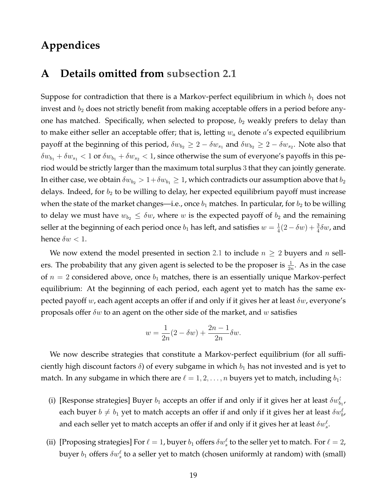### **Appendices**

### <span id="page-18-0"></span>**A Details omitted from [subsection 2.1](#page-4-1)**

Suppose for contradiction that there is a Markov-perfect equilibrium in which  $b_1$  does not invest and  $b_2$  does not strictly benefit from making acceptable offers in a period before anyone has matched. Specifically, when selected to propose,  $b_2$  weakly prefers to delay than to make either seller an acceptable offer; that is, letting  $w_a$  denote  $a$ 's expected equilibrium payoff at the beginning of this period,  $\delta w_{b_2}\geq 2-\delta w_{s_1}$  and  $\delta w_{b_2}\geq 2-\delta w_{s_2}.$  Note also that  $\delta w_{b_1} + \delta w_{s_1} < 1$  or  $\delta w_{b_1} + \delta w_{s_2} < 1$ , since otherwise the sum of everyone's payoffs in this period would be strictly larger than the maximum total surplus 3 that they can jointly generate. In either case, we obtain  $\delta w_{b_2} > 1+\delta w_{b_1} \geq 1$ , which contradicts our assumption above that  $b_2$ delays. Indeed, for  $b_2$  to be willing to delay, her expected equilibrium payoff must increase when the state of the market changes—i.e., once  $b_1$  matches. In particular, for  $b_2$  to be willing to delay we must have  $w_{b_2} \leq \delta w$ , where w is the expected payoff of  $b_2$  and the remaining seller at the beginning of each period once  $b_1$  has left, and satisfies  $w = \frac{1}{4}$  $\frac{1}{4}(2-\delta w)+\frac{3}{4}\delta w$ , and hence  $\delta w < 1$ .

We now extend the model presented in section [2.1](#page-4-1) to include  $n \geq 2$  buyers and n sellers. The probability that any given agent is selected to be the proposer is  $\frac{1}{2n}$ . As in the case of  $n = 2$  considered above, once  $b_1$  matches, there is an essentially unique Markov-perfect equilibrium: At the beginning of each period, each agent yet to match has the same expected payoff w, each agent accepts an offer if and only if it gives her at least  $\delta w$ , everyone's proposals offer  $\delta w$  to an agent on the other side of the market, and w satisfies

$$
w = \frac{1}{2n}(2 - \delta w) + \frac{2n - 1}{2n}\delta w.
$$

We now describe strategies that constitute a Markov-perfect equilibrium (for all sufficiently high discount factors  $\delta$ ) of every subgame in which  $b_1$  has not invested and is yet to match. In any subgame in which there are  $\ell = 1, 2, \ldots, n$  buyers yet to match, including  $b_1$ :

- (i) [Response strategies] Buyer  $b_1$  accepts an offer if and only if it gives her at least  $\delta w_{b_1}^{\ell}$ , each buyer  $b\neq b_1$  yet to match accepts an offer if and only if it gives her at least  $\delta w^{\ell}_{b'}$ , and each seller yet to match accepts an offer if and only if it gives her at least  $\delta w^{\ell}_s.$
- (ii) [Proposing strategies] For  $\ell = 1$ , buyer  $b_1$  offers  $\delta w^{\ell}_s$  to the seller yet to match. For  $\ell = 2$ , buyer  $b_1$  offers  $\delta w^{\ell}_s$  to a seller yet to match (chosen uniformly at random) with (small)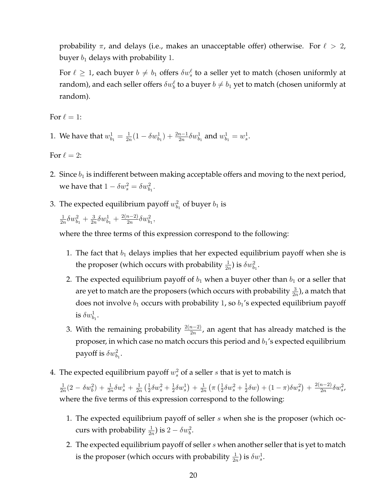probability  $\pi$ , and delays (i.e., makes an unacceptable offer) otherwise. For  $\ell > 2$ , buyer  $b_1$  delays with probability 1.

For  $\ell \geq 1$ , each buyer  $b \neq b_1$  offers  $\delta w^\ell_s$  to a seller yet to match (chosen uniformly at random), and each seller offers  $\delta w_b^\ell$  to a buyer  $b\neq b_1$  yet to match (chosen uniformly at random).

For  $\ell = 1$ :

1. We have that  $w_{b_1}^1 = \frac{1}{2n}$  $\frac{1}{2n}(1 - \delta w_{b_1}^1) + \frac{2n-1}{2n}\delta w_{b_1}^1$  and  $w_{b_1}^1 = w_s^1$ .

For  $\ell = 2$ :

- 2. Since  $b_1$  is indifferent between making acceptable offers and moving to the next period, we have that  $1 - \delta w_s^2 = \delta w_{b_1}^2$ .
- 3. The expected equilibrium payoff  $w_{b_1}^2$  of buyer  $b_1$  is

1  $\frac{1}{2n}\delta w_{b_1}^2 + \frac{3}{2n}$  $\frac{3}{2n}\delta w_{b_1}^1+\frac{2(n-2)}{2n}$  $\frac{n-2)}{2n}\delta w_{b_1}^2,$ 

where the three terms of this expression correspond to the following:

- 1. The fact that  $b_1$  delays implies that her expected equilibrium payoff when she is the proposer (which occurs with probability  $\frac{1}{2n}$ ) is  $\delta w_{b_1}^2$ .
- 2. The expected equilibrium payoff of  $b_1$  when a buyer other than  $b_1$  or a seller that are yet to match are the proposers (which occurs with probability  $\frac{3}{2n}$ ), a match that does not involve  $b_1$  occurs with probability 1, so  $b_1$ 's expected equilibrium payoff is  $\delta w_{b_1}^1$ .
- 3. With the remaining probability  $\frac{2(n-2)}{2n}$ , an agent that has already matched is the proposer, in which case no match occurs this period and  $b_1$ 's expected equilibrium payoff is  $\delta w_{b_1}^2$ .
- 4. The expected equilibrium payoff  $w_s^2$  of a seller  $s$  that is yet to match is

1  $\frac{1}{2n}(2-\delta w_b^2) + \frac{1}{2n}\delta w_s^1 + \frac{1}{2n}$  $\frac{1}{2n}$   $\left(\frac{1}{2}\right)$  $\frac{1}{2}\delta w_{s}^{2}+\frac{1}{2}$  $\frac{1}{2}\delta w_{s}^{1}$  +  $\frac{1}{2n}$  $\frac{1}{2n}$   $\left(\pi\left(\frac{1}{2}\right)$  $\frac{1}{2}\delta w_{s}^{2}+\frac{1}{2}$  $(\frac{1}{2}\delta w) + (1-\pi)\delta w_s^2 + \frac{2(n-2)}{2n}$  $\frac{n-2)}{2n} \delta w_s^2$ where the five terms of this expression correspond to the following:

- 1. The expected equilibrium payoff of seller s when she is the proposer (which occurs with probability  $\frac{1}{2n}$ ) is  $2 - \delta w_b^2$ .
- 2. The expected equilibrium payoff of seller  $s$  when another seller that is yet to match is the proposer (which occurs with probability  $\frac{1}{2n}$ ) is  $\delta w_s^1$ .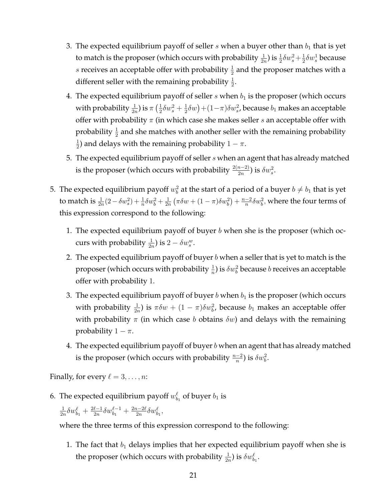- 3. The expected equilibrium payoff of seller  $s$  when a buyer other than  $b_1$  that is yet to match is the proposer (which occurs with probability  $\frac{1}{2n}$ ) is  $\frac{1}{2}\delta w_s^2 + \frac{1}{2}$  $\frac{1}{2}\delta w_s^1$  because s receives an acceptable offer with probability  $\frac{1}{2}$  and the proposer matches with a different seller with the remaining probability  $\frac{1}{2}$ .
- 4. The expected equilibrium payoff of seller  $s$  when  $b_1$  is the proposer (which occurs with probability  $\frac{1}{2n}$ ) is  $\pi\left(\frac{1}{2}\right)$  $\frac{1}{2}\delta w_{s}^{2}+\frac{1}{2}$  $(\frac{1}{2}\delta w)+(1-\pi)\delta w_{s}^{2}$ , because  $b_{1}$  makes an acceptable offer with probability  $\pi$  (in which case she makes seller s an acceptable offer with probability  $\frac{1}{2}$  and she matches with another seller with the remaining probability 1  $\frac{1}{2}$ ) and delays with the remaining probability  $1 - \pi$ .
- 5. The expected equilibrium payoff of seller s when an agent that has already matched is the proposer (which occurs with probability  $\frac{2(n-2)}{2n}$ ) is  $\delta w_s^2$ .
- 5. The expected equilibrium payoff  $w_b^2$  at the start of a period of a buyer  $b\neq b_1$  that is yet to match is  $\frac{1}{2n}(2-\delta w_s^2)+\frac{1}{n}\delta w_b^2+\frac{1}{2n}$  $\frac{1}{2n}(\pi \delta w + (1-\pi)\delta w_b^2) + \frac{n-2}{n}$  $\frac{-2}{n}\delta w_b^2$ , where the four terms of this expression correspond to the following:
	- 1. The expected equilibrium payoff of buyer b when she is the proposer (which occurs with probability  $\frac{1}{2n}$ ) is  $2 - \delta w_s^w$ .
	- 2. The expected equilibrium payoff of buyer  $b$  when a seller that is yet to match is the proposer (which occurs with probability  $\frac{1}{n}$ ) is  $\delta w_{b}^{2}$  because  $b$  receives an acceptable offer with probability 1.
	- 3. The expected equilibrium payoff of buyer b when  $b_1$  is the proposer (which occurs with probability  $\frac{1}{2n}$ ) is  $\pi \delta w + (1 - \pi) \delta w_b^2$ , because  $b_1$  makes an acceptable offer with probability  $\pi$  (in which case b obtains  $\delta w$ ) and delays with the remaining probability  $1 - \pi$ .
	- 4. The expected equilibrium payoff of buyer  $b$  when an agent that has already matched is the proposer (which occurs with probability  $\frac{n-2}{n}$ ) is  $\delta w_b^2$ .

Finally, for every  $\ell = 3, \ldots, n$ :

6. The expected equilibrium payoff  $w^\ell_{b_1}$  of buyer  $b_1$  is

$$
\tfrac{1}{2n}\delta w^\ell_{b_1} + \tfrac{2\ell-1}{2n}\delta w^{\ell-1}_{b_1} + \tfrac{2n-2\ell}{2n}\delta w^\ell_{b_1},
$$

where the three terms of this expression correspond to the following:

1. The fact that  $b_1$  delays implies that her expected equilibrium payoff when she is the proposer (which occurs with probability  $\frac{1}{2n}$ ) is  $\delta w_{b_1}^{\ell}$ .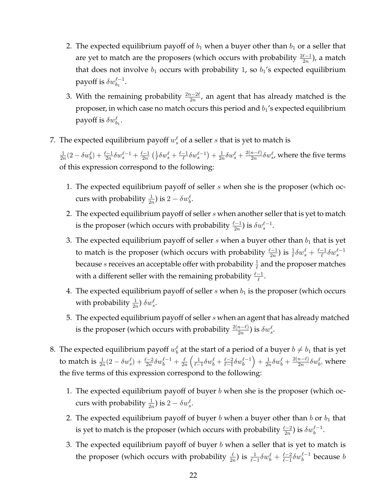- 2. The expected equilibrium payoff of  $b_1$  when a buyer other than  $b_1$  or a seller that are yet to match are the proposers (which occurs with probability  $\frac{2\ell-1}{2n}$ ), a match that does not involve  $b_1$  occurs with probability 1, so  $b_1$ 's expected equilibrium payoff is  $\delta w^{\ell-1}_{b_1}.$
- 3. With the remaining probability  $\frac{2n-2\ell}{2n}$ , an agent that has already matched is the proposer, in which case no match occurs this period and  $b_1$ 's expected equilibrium payoff is  $\delta w^\ell_{b_1}$ .
- 7. The expected equilibrium payoff  $w_s^{\ell}$  of a seller  $s$  that is yet to match is

1  $\frac{1}{2n}(2 - \delta w_b^{\ell}) + \frac{\ell-1}{2n}\delta w_s^{\ell-1} + \frac{\ell-1}{2n}$  $\frac{2-1}{2n}$   $\left(\frac{1}{\ell}\right)$  $\frac{1}{\ell}\delta w_s^{\ell} + \frac{\ell-1}{\ell}$  $\frac{-1}{\ell}\delta w_s^{\ell-1}$  +  $\frac{1}{2n}$  $\frac{1}{2n}\delta w_s^{\ell} + \frac{2(n-\ell)}{2n}$  $\frac{n-\ell)}{2n}\delta w_{s}^{\ell}$ , where the five terms of this expression correspond to the following:

- 1. The expected equilibrium payoff of seller  $s$  when she is the proposer (which occurs with probability  $\frac{1}{2n}$ ) is  $2 - \delta w_b^{\ell}$ .
- 2. The expected equilibrium payoff of seller  $s$  when another seller that is yet to match is the proposer (which occurs with probability  $\frac{\ell-1}{2n}$ ) is  $\delta w_s^{\ell-1}$ .
- 3. The expected equilibrium payoff of seller  $s$  when a buyer other than  $b_1$  that is yet to match is the proposer (which occurs with probability  $\frac{\ell-1}{2n}$ ) is  $\frac{1}{\ell}\delta w_s^{\ell} + \frac{\ell-1}{\ell}$  $\frac{-1}{\ell}\delta w_s^{\ell-1}$ because  $s$  receives an acceptable offer with probability  $\frac{1}{\ell}$  and the proposer matches with a different seller with the remaining probability  $\frac{\ell-1}{\ell}$ .
- 4. The expected equilibrium payoff of seller  $s$  when  $b_1$  is the proposer (which occurs with probability  $\frac{1}{2n}$ )  $\delta w_s^{\ell}$ .
- 5. The expected equilibrium payoff of seller  $s$  when an agent that has already matched is the proposer (which occurs with probability  $\frac{2(n-\ell)}{2n}$ ) is  $\delta w^{\ell}_{s}$ .
- 8. The expected equilibrium payoff  $w^\ell_b$  at the start of a period of a buyer  $b\neq b_1$  that is yet to match is  $\frac{1}{2n}(2 - \delta w_s^{\ell}) + \frac{\ell-2}{2n}\delta w_b^{\ell-1} + \frac{\ell}{2n}$  $\frac{\ell}{2n}\left(\frac{1}{\ell-1}\delta w_b^{\ell}+\frac{\ell-2}{\ell-1}\right)$  $\frac{\ell-2}{\ell-1}\delta w_b^{\ell-1}\Big)+\frac{1}{2n}$  $\frac{1}{2n}\delta w_b^{\ell} + \frac{2(n-\ell)}{2n}$  $\frac{n-\ell)}{2n} \delta w_b^\ell$ , where the five terms of this expression correspond to the following:
	- 1. The expected equilibrium payoff of buyer  $b$  when she is the proposer (which occurs with probability  $\frac{1}{2n}$ ) is  $2 - \delta w_s^{\ell}$ .
	- 2. The expected equilibrium payoff of buyer  $b$  when a buyer other than  $b$  or  $b_1$  that is yet to match is the proposer (which occurs with probability  $\frac{\ell-2}{2n}$ ) is  $\delta w_b^{\ell-1}.$
	- 3. The expected equilibrium payoff of buyer  $b$  when a seller that is yet to match is the proposer (which occurs with probability  $\frac{\ell}{2n}$ ) is  $\frac{1}{\ell-1}\delta w_b^{\ell} + \frac{\ell-2}{\ell-1}$  $\frac{\ell-2}{\ell-1}\delta w^{\ell-1}_b$  because  $b$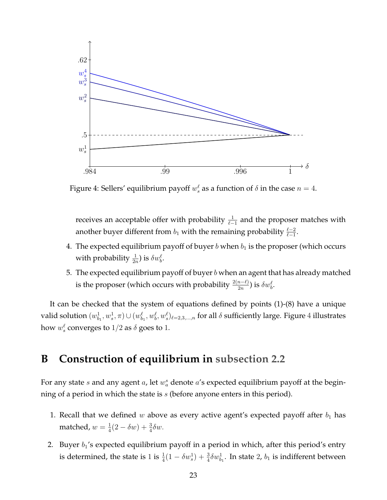<span id="page-22-1"></span>

Figure 4: Sellers' equilibrium payoff  $w_s^{\ell}$  as a function of  $\delta$  in the case  $n=4$ .

receives an acceptable offer with probability  $\frac{1}{\ell-1}$  and the proposer matches with another buyer different from  $b_1$  with the remaining probability  $\frac{\ell-2}{\ell-1}$ .

- 4. The expected equilibrium payoff of buyer b when  $b_1$  is the proposer (which occurs with probability  $\frac{1}{2n}$ ) is  $\delta w_b^{\ell}$ .
- 5. The expected equilibrium payoff of buyer  $b$  when an agent that has already matched is the proposer (which occurs with probability  $\frac{2(n-\ell)}{2n}$ ) is  $\delta w_b^\ell.$

It can be checked that the system of equations defined by points (1)-(8) have a unique valid solution  $(w^1_{b_1},w^1_{s},\pi)\cup (w^\ell_{b_1},w^\ell_{b},w^\ell_{s})_{\ell=2,3,...,n}$  for all  $\delta$  sufficiently large. Figure  $4$  illustrates how  $w_s^{\ell}$  converges to  $1/2$  as  $\delta$  goes to  $1.$ 

### <span id="page-22-0"></span>**B Construction of equilibrium in [subsection 2.2](#page-5-0)**

For any state s and any agent a, let  $w_a^s$  denote a's expected equilibrium payoff at the beginning of a period in which the state is  $s$  (before anyone enters in this period).

- 1. Recall that we defined w above as every active agent's expected payoff after  $b_1$  has matched,  $w=\frac{1}{4}$  $\frac{1}{4}(2 - \delta w) + \frac{3}{4}\delta w.$
- 2. Buyer  $b_1$ 's expected equilibrium payoff in a period in which, after this period's entry is determined, the state is 1 is  $\frac{1}{4}(1-\delta w_s^1)+\frac{3}{4}\delta w_{b_1}^1$ . In state 2,  $b_1$  is indifferent between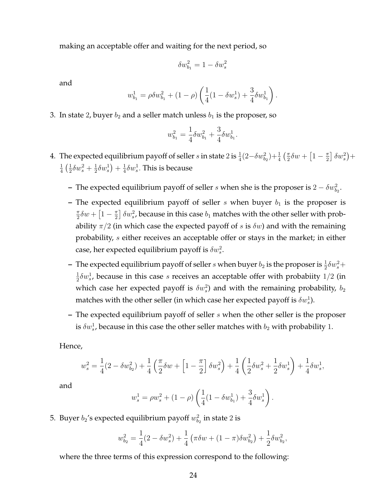making an acceptable offer and waiting for the next period, so

$$
\delta w_{b_1}^2 = 1 - \delta w_s^2
$$

and

$$
w_{b_1}^1 = \rho \delta w_{b_1}^2 + (1 - \rho) \left( \frac{1}{4} (1 - \delta w_s^1) + \frac{3}{4} \delta w_{b_1}^1 \right).
$$

3. In state 2, buyer  $b_2$  and a seller match unless  $b_1$  is the proposer, so

$$
w_{b_1}^2 = \frac{1}{4} \delta w_{b_1}^2 + \frac{3}{4} \delta w_{b_1}^1.
$$

- 4. The expected equilibrium payoff of seller  $s$  in state  $2$  is  $\frac{1}{4}(2-\delta w_{b_2}^2)+\frac{1}{4}$   $(\frac{\pi}{2}$  $\frac{\pi}{2}\delta w + \left[1-\frac{\pi}{2}\right]$  $\frac{\pi}{2}$   $\delta w_s^2$  + 1  $rac{1}{4}$   $\left(\frac{1}{2}\right)$  $\frac{1}{2}\delta w_{s}^{2}+\frac{1}{2}$  $\frac{1}{2}\delta w_{s}^{1}$  +  $\frac{1}{4}$  $\frac{1}{4}\delta w_s^1$ . This is because
	- **–** The expected equilibrium payoff of seller *s* when she is the proposer is  $2 \delta w_{b_2}^2$ .
	- **–** The expected equilibrium payoff of seller  $s$  when buyer  $b_1$  is the proposer is π  $\frac{\pi}{2}\delta w + \left[1-\frac{\pi}{2}\right]$  $\pi\over 2]$   $\delta w_s^2$ , because in this case  $b_1$  matches with the other seller with probability  $\pi/2$  (in which case the expected payoff of s is  $\delta w$ ) and with the remaining probability, s either receives an acceptable offer or stays in the market; in either case, her expected equilibrium payoff is  $\delta w_s^2$ .
	- The expected equilibrium payoff of seller s when buyer  $b_2$  is the proposer is  $\frac{1}{2}\delta w_s^2 +$ 1  $\frac{1}{2}\delta w_s^1$ , because in this case s receives an acceptable offer with probabiity  $1/2$  (in which case her expected payoff is  $\delta w_s^2$ ) and with the remaining probability,  $b_2$ matches with the other seller (in which case her expected payoff is  $\delta w^1_s$ ).
	- **–** The expected equilibrium payoff of seller s when the other seller is the proposer is  $\delta w^1_s$ , because in this case the other seller matches with  $b_2$  with probability 1.

Hence,

$$
w^2_s=\frac{1}{4}(2-\delta w^2_{b_2})+\frac{1}{4}\left(\frac{\pi}{2}\delta w+\left[1-\frac{\pi}{2}\right]\delta w^2_s\right)+\frac{1}{4}\left(\frac{1}{2}\delta w^2_s+\frac{1}{2}\delta w^1_s\right)+\frac{1}{4}\delta w^1_s,
$$

and

$$
w_s^1 = \rho w_s^2 + (1 - \rho) \left( \frac{1}{4} (1 - \delta w_{b_1}^1) + \frac{3}{4} \delta w_s^1 \right).
$$

5. Buyer  $b_2$ 's expected equilibrium payoff  $w_{b_2}^2$  in state 2 is

$$
w_{b_2}^2 = \frac{1}{4}(2 - \delta w_s^2) + \frac{1}{4}(\pi \delta w + (1 - \pi)\delta w_{b_2}^2) + \frac{1}{2}\delta w_{b_2}^2,
$$

where the three terms of this expression correspond to the following: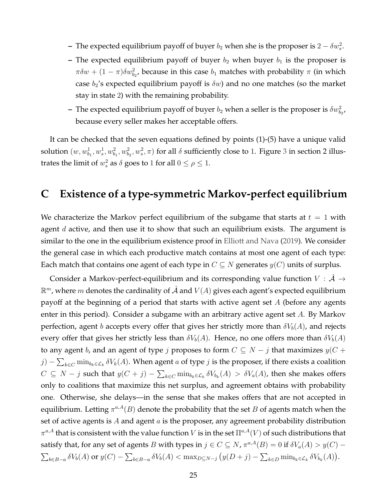- **–** The expected equilibrium payoff of buyer  $b_2$  when she is the proposer is  $2 \delta w_s^2$ .
- **–** The expected equilibrium payoff of buyer  $b_2$  when buyer  $b_1$  is the proposer is  $\pi \delta w + (1 - \pi) \delta w_{b_2}^2$ , because in this case  $b_1$  matches with probability  $\pi$  (in which case  $b_2$ 's expected equilibrium payoff is  $\delta w$ ) and no one matches (so the market stay in state 2) with the remaining probability.
- The expected equilibrium payoff of buyer  $b_2$  when a seller is the proposer is  $\delta w_{b_2}^2$ , because every seller makes her acceptable offers.

It can be checked that the seven equations defined by points (1)-(5) have a unique valid solution  $(w, w_{b_1}^1, w_s^1, w_{b_1}^2, w_{b_2}^2, w_s^2, \pi)$  for all  $\delta$  sufficiently close to 1. Figure [3](#page-7-0) in section 2 illustrates the limit of  $w_s^2$  as  $\delta$  goes to 1 for all  $0 \le \rho \le 1$ .

### <span id="page-24-0"></span>**C Existence of a type-symmetric Markov-perfect equilibrium**

We characterize the Markov perfect equilibrium of the subgame that starts at  $t = 1$  with agent  $d$  active, and then use it to show that such an equilibrium exists. The argument is similar to the one in the equilibrium existence proof in [Elliott and Nava](#page-29-11) [\(2019\)](#page-29-11). We consider the general case in which each productive match contains at most one agent of each type: Each match that contains one agent of each type in  $C \subseteq N$  generates  $y(C)$  units of surplus.

Consider a Markov-perfect-equilibrium and its corresponding value function  $V : \mathcal{A} \rightarrow$  $\mathbb{R}^m$ , where  $m$  denotes the cardinality of  $\hat{\mathcal{A}}$  and  $V(A)$  gives each agent's expected equilibrium payoff at the beginning of a period that starts with active agent set  $A$  (before any agents enter in this period). Consider a subgame with an arbitrary active agent set A. By Markov perfection, agent b accepts every offer that gives her strictly more than  $\delta V_b(A)$ , and rejects every offer that gives her strictly less than  $\delta V_b(A)$ . Hence, no one offers more than  $\delta V_b(A)$ to any agent b, and an agent of type j proposes to form  $C \subseteq N - j$  that maximizes  $y(C +$  $j) - \sum_{k \in C} \min_{b_k \in \mathcal{L}_k} \delta V_k(A)$ . When agent  $a$  of type  $j$  is the proposer, if there exists a coalition  $C ⊆ N - j$  such that  $y(C + j) - \sum_{k \in C} \min_{b_k \in \mathcal{L}_k} \delta V_{b_k}(A) > \delta V_a(A)$ , then she makes offers only to coalitions that maximize this net surplus, and agreement obtains with probability one. Otherwise, she delays—in the sense that she makes offers that are not accepted in equilibrium. Letting  $\pi^{a,A}(B)$  denote the probability that the set  $B$  of agents match when the set of active agents is A and agent  $a$  is the proposer, any agreement probability distribution  $\pi^{a,A}$  that is consistent with the value function  $V$  is in the set  $\Pi^{a,A}(V)$  of such distributions that satisfy that, for any set of agents B with types in  $j \in C \subseteq N$ ,  $\pi^{a,A}(B) = 0$  if  $\delta V_a(A) > y(C) - z$  $\sum_{b\in B-a} \delta V_b(A)$  or  $y(C) - \sum_{b\in B-a} \delta V_b(A) < \max_{D\subseteq N-j} (y(D+j) - \sum_{k\in D} \min_{b_k \in \mathcal{L}_k} \delta V_{b_k}(A)).$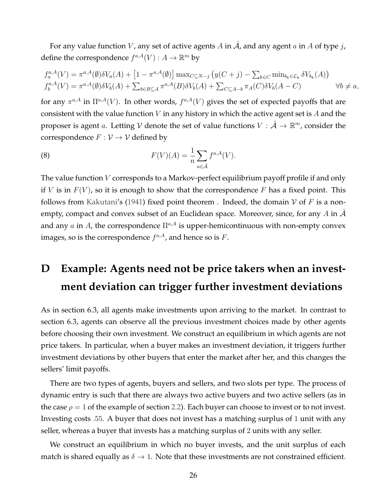For any value function V, any set of active agents A in  $\hat{A}$ , and any agent a in A of type j, define the correspondence  $f^{a,A}(V) : A \to \mathbb{R}^m$  by

$$
f_a^{a,A}(V) = \pi^{a,A}(\emptyset) \delta V_a(A) + [1 - \pi^{a,A}(\emptyset)] \max_{C \subseteq N-j} (y(C + j) - \sum_{k \in C} \min_{b_k \in \mathcal{L}_k} \delta V_{b_k}(A))
$$
  

$$
f_b^{a,A}(V) = \pi^{a,A}(\emptyset) \delta V_b(A) + \sum_{b \in B \subseteq A} \pi^{a,A}(B) \delta V_b(A) + \sum_{C \subseteq A-b} \pi_A(C) \delta V_b(A - C) \qquad \forall b \neq a,
$$

for any  $\pi^{a,A}$  in  $\Pi^{a,A}(V)$ . In other words,  $f^{a,A}(V)$  gives the set of expected payoffs that are consistent with the value function  $V$  in any history in which the active agent set is  $A$  and the proposer is agent a. Letting V denote the set of value functions  $V : \hat{\mathcal{A}} \to \mathbb{R}^m$ , consider the correspondence  $F: V \to V$  defined by

(8) 
$$
F(V)(A) = \frac{1}{n} \sum_{a \in \hat{\mathcal{A}}} f^{a,A}(V).
$$

The value function V corresponds to a Markov-perfect equilibrium payoff profile if and only if V is in  $F(V)$ , so it is enough to show that the correspondence F has a fixed point. This follows from [Kakutani'](#page-30-14)s [\(1941\)](#page-30-14) fixed point theorem . Indeed, the domain V of F is a nonempty, compact and convex subset of an Euclidean space. Moreover, since, for any A in  $\mathcal A$ and any  $a$  in  $A$  , the correspondence  $\Pi^{a,A}$  is upper-hemicontinuous with non-empty convex images, so is the correspondence  $f^{a,A}$ , and hence so is F.

## <span id="page-25-0"></span>**D Example: Agents need not be price takers when an investment deviation can trigger further investment deviations**

As in section 6.3, all agents make investments upon arriving to the market. In contrast to section 6.3, agents can observe all the previous investment choices made by other agents before choosing their own investment. We construct an equilibrium in which agents are not price takers. In particular, when a buyer makes an investment deviation, it triggers further investment deviations by other buyers that enter the market after her, and this changes the sellers' limit payoffs.

There are two types of agents, buyers and sellers, and two slots per type. The process of dynamic entry is such that there are always two active buyers and two active sellers (as in the case  $\rho = 1$  of the example of section [2.2\)](#page-5-0). Each buyer can choose to invest or to not invest. Investing costs .55. A buyer that does not invest has a matching surplus of 1 unit with any seller, whereas a buyer that invests has a matching surplus of 2 units with any seller.

We construct an equilibrium in which no buyer invests, and the unit surplus of each match is shared equally as  $\delta \to 1$ . Note that these investments are not constrained efficient.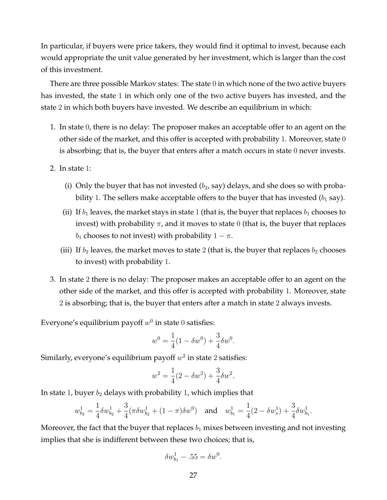In particular, if buyers were price takers, they would find it optimal to invest, because each would appropriate the unit value generated by her investment, which is larger than the cost of this investment.

There are three possible Markov states: The state 0 in which none of the two active buyers has invested, the state 1 in which only one of the two active buyers has invested, and the state 2 in which both buyers have invested. We describe an equilibrium in which:

- 1. In state 0, there is no delay: The proposer makes an acceptable offer to an agent on the other side of the market, and this offer is accepted with probability 1. Moreover, state 0 is absorbing; that is, the buyer that enters after a match occurs in state 0 never invests.
- 2. In state 1:
	- (i) Only the buyer that has not invested  $(b_2, say)$  delays, and she does so with probability 1. The sellers make acceptable offers to the buyer that has invested  $(b_1 \text{ say})$ .
	- (ii) If  $b_1$  leaves, the market stays in state 1 (that is, the buyer that replaces  $b_1$  chooses to invest) with probability  $\pi$ , and it moves to state 0 (that is, the buyer that replaces  $b_1$  chooses to not invest) with probability  $1 - \pi$ .
	- (iii) If  $b_2$  leaves, the market moves to state 2 (that is, the buyer that replaces  $b_2$  chooses to invest) with probability 1.
- 3. In state 2 there is no delay: The proposer makes an acceptable offer to an agent on the other side of the market, and this offer is accepted with probability 1. Moreover, state 2 is absorbing; that is, the buyer that enters after a match in state 2 always invests.

Everyone's equilibrium payoff  $w^0$  in state  $0$  satisfies:

$$
w^{0} = \frac{1}{4}(1 - \delta w^{0}) + \frac{3}{4}\delta w^{0}.
$$

Similarly, everyone's equilibrium payoff  $w^2$  in state 2 satisfies:

$$
w^{2} = \frac{1}{4}(2 - \delta w^{2}) + \frac{3}{4}\delta w^{2}.
$$

In state 1, buyer  $b_2$  delays with probability 1, which implies that

$$
w_{b_2}^1 = \frac{1}{4}\delta w_{b_2}^1 + \frac{3}{4}(\pi \delta w_{b_2}^1 + (1 - \pi)\delta w^0) \quad \text{and} \quad w_{b_1}^1 = \frac{1}{4}(2 - \delta w_s^1) + \frac{3}{4}\delta w_{b_1}^1.
$$

Moreover, the fact that the buyer that replaces  $b_1$  mixes between investing and not investing implies that she is indifferent between these two choices; that is,

$$
\delta w_{b_1}^1 - .55 = \delta w^0.
$$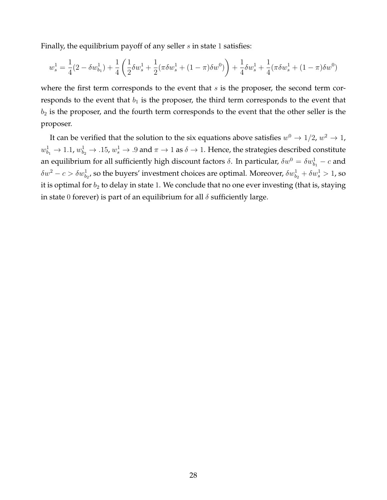Finally, the equilibrium payoff of any seller  $s$  in state 1 satisfies:

$$
w_s^1 = \frac{1}{4}(2 - \delta w_{b_1}^1) + \frac{1}{4}\left(\frac{1}{2}\delta w_s^1 + \frac{1}{2}(\pi \delta w_s^1 + (1 - \pi)\delta w^0)\right) + \frac{1}{4}\delta w_s^1 + \frac{1}{4}(\pi \delta w_s^1 + (1 - \pi)\delta w^0)
$$

where the first term corresponds to the event that  $s$  is the proposer, the second term corresponds to the event that  $b_1$  is the proposer, the third term corresponds to the event that  $b_2$  is the proposer, and the fourth term corresponds to the event that the other seller is the proposer.

It can be verified that the solution to the six equations above satisfies  $w^0\rightarrow 1/2$ ,  $w^2\rightarrow 1$ ,  $w^1_{b_1}\to 1.1$ ,  $w^1_{b_2}\to$  .15,  $w^1_s\to$  .9 and  $\pi\to 1$  as  $\delta\to 1$ . Hence, the strategies described constitute an equilibrium for all sufficiently high discount factors  $\delta$ . In particular,  $\delta w^0 = \delta w^1_{b_1} - c$  and  $\delta w^2-c>\delta w^1_{b_2}$ , so the buyers' investment choices are optimal. Moreover,  $\delta w^1_{b_2}+\delta w^1_s>1$ , so it is optimal for  $b_2$  to delay in state 1. We conclude that no one ever investing (that is, staying in state 0 forever) is part of an equilibrium for all  $\delta$  sufficiently large.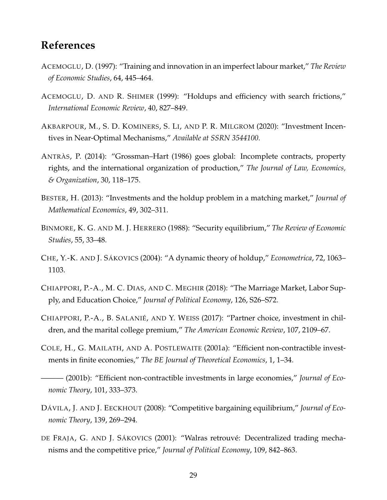### **References**

- <span id="page-28-0"></span>ACEMOGLU, D. (1997): "Training and innovation in an imperfect labour market," *The Review of Economic Studies*, 64, 445–464.
- <span id="page-28-1"></span>ACEMOGLU, D. AND R. SHIMER (1999): "Holdups and efficiency with search frictions," *International Economic Review*, 40, 827–849.
- <span id="page-28-4"></span>AKBARPOUR, M., S. D. KOMINERS, S. LI, AND P. R. MILGROM (2020): "Investment Incentives in Near-Optimal Mechanisms," *Available at SSRN 3544100*.
- <span id="page-28-3"></span>ANTRÀS, P. (2014): "Grossman–Hart (1986) goes global: Incomplete contracts, property rights, and the international organization of production," *The Journal of Law, Economics, & Organization*, 30, 118–175.
- <span id="page-28-8"></span>BESTER, H. (2013): "Investments and the holdup problem in a matching market," *Journal of Mathematical Economics*, 49, 302–311.
- <span id="page-28-9"></span>BINMORE, K. G. AND M. J. HERRERO (1988): "Security equilibrium," *The Review of Economic Studies*, 55, 33–48.
- <span id="page-28-12"></span>CHE, Y.-K. AND J. SÁKOVICS (2004): "A dynamic theory of holdup," *Econometrica*, 72, 1063– 1103.
- <span id="page-28-7"></span>CHIAPPORI, P.-A., M. C. DIAS, AND C. MEGHIR (2018): "The Marriage Market, Labor Supply, and Education Choice," *Journal of Political Economy*, 126, S26–S72.
- <span id="page-28-6"></span>CHIAPPORI, P.-A., B. SALANIÉ, AND Y. WEISS (2017): "Partner choice, investment in children, and the marital college premium," *The American Economic Review*, 107, 2109–67.
- <span id="page-28-2"></span>COLE, H., G. MAILATH, AND A. POSTLEWAITE (2001a): "Efficient non-contractible investments in finite economies," *The BE Journal of Theoretical Economics*, 1, 1–34.
- <span id="page-28-5"></span>——— (2001b): "Efficient non-contractible investments in large economies," *Journal of Economic Theory*, 101, 333–373.
- <span id="page-28-11"></span>DÁVILA, J. AND J. EECKHOUT (2008): "Competitive bargaining equilibrium," *Journal of Economic Theory*, 139, 269–294.
- <span id="page-28-10"></span>DE FRAJA, G. AND J. SÁKOVICS (2001): "Walras retrouvé: Decentralized trading mechanisms and the competitive price," *Journal of Political Economy*, 109, 842–863.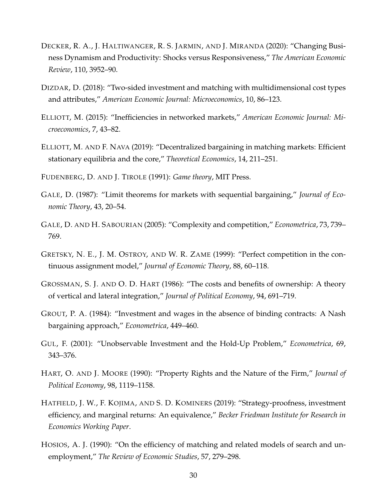- <span id="page-29-7"></span>DECKER, R. A., J. HALTIWANGER, R. S. JARMIN, AND J. MIRANDA (2020): "Changing Business Dynamism and Productivity: Shocks versus Responsiveness," *The American Economic Review*, 110, 3952–90.
- <span id="page-29-8"></span>DIZDAR, D. (2018): "Two-sided investment and matching with multidimensional cost types and attributes," *American Economic Journal: Microeconomics*, 10, 86–123.
- <span id="page-29-4"></span>ELLIOTT, M. (2015): "Inefficiencies in networked markets," *American Economic Journal: Microeconomics*, 7, 43–82.
- <span id="page-29-11"></span>ELLIOTT, M. AND F. NAVA (2019): "Decentralized bargaining in matching markets: Efficient stationary equilibria and the core," *Theoretical Economics*, 14, 211–251.
- <span id="page-29-13"></span>FUDENBERG, D. AND J. TIROLE (1991): *Game theory*, MIT Press.
- <span id="page-29-9"></span>GALE, D. (1987): "Limit theorems for markets with sequential bargaining," *Journal of Economic Theory*, 43, 20–54.
- <span id="page-29-10"></span>GALE, D. AND H. SABOURIAN (2005): "Complexity and competition," *Econometrica*, 73, 739– 769.
- <span id="page-29-3"></span>GRETSKY, N. E., J. M. OSTROY, AND W. R. ZAME (1999): "Perfect competition in the continuous assignment model," *Journal of Economic Theory*, 88, 60–118.
- <span id="page-29-1"></span>GROSSMAN, S. J. AND O. D. HART (1986): "The costs and benefits of ownership: A theory of vertical and lateral integration," *Journal of Political Economy*, 94, 691–719.
- <span id="page-29-0"></span>GROUT, P. A. (1984): "Investment and wages in the absence of binding contracts: A Nash bargaining approach," *Econometrica*, 449–460.
- <span id="page-29-12"></span>GUL, F. (2001): "Unobservable Investment and the Hold-Up Problem," *Econometrica*, 69, 343–376.
- <span id="page-29-5"></span>HART, O. AND J. MOORE (1990): "Property Rights and the Nature of the Firm," *Journal of Political Economy*, 98, 1119–1158.
- <span id="page-29-2"></span>HATFIELD, J. W., F. KOJIMA, AND S. D. KOMINERS (2019): "Strategy-proofness, investment efficiency, and marginal returns: An equivalence," *Becker Friedman Institute for Research in Economics Working Paper*.
- <span id="page-29-6"></span>HOSIOS, A. J. (1990): "On the efficiency of matching and related models of search and unemployment," *The Review of Economic Studies*, 57, 279–298.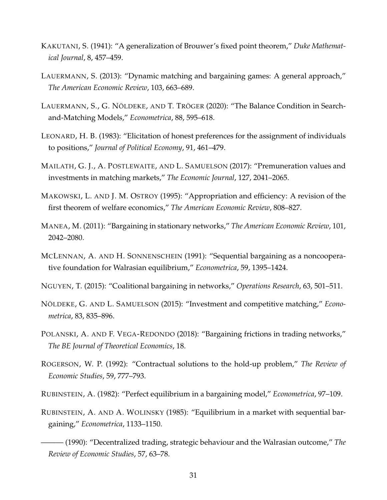- <span id="page-30-14"></span>KAKUTANI, S. (1941): "A generalization of Brouwer's fixed point theorem," *Duke Mathematical Journal*, 8, 457–459.
- <span id="page-30-8"></span>LAUERMANN, S. (2013): "Dynamic matching and bargaining games: A general approach," *The American Economic Review*, 103, 663–689.
- <span id="page-30-11"></span>LAUERMANN, S., G. NÖLDEKE, AND T. TRÖGER (2020): "The Balance Condition in Searchand-Matching Models," *Econometrica*, 88, 595–618.
- <span id="page-30-3"></span>LEONARD, H. B. (1983): "Elicitation of honest preferences for the assignment of individuals to positions," *Journal of Political Economy*, 91, 461–479.
- <span id="page-30-4"></span>MAILATH, G. J., A. POSTLEWAITE, AND L. SAMUELSON (2017): "Premuneration values and investments in matching markets," *The Economic Journal*, 127, 2041–2065.
- <span id="page-30-1"></span>MAKOWSKI, L. AND J. M. OSTROY (1995): "Appropriation and efficiency: A revision of the first theorem of welfare economics," *The American Economic Review*, 808–827.
- <span id="page-30-12"></span>MANEA, M. (2011): "Bargaining in stationary networks," *The American Economic Review*, 101, 2042–2080.
- <span id="page-30-7"></span>MCLENNAN, A. AND H. SONNENSCHEIN (1991): "Sequential bargaining as a noncooperative foundation for Walrasian equilibrium," *Econometrica*, 59, 1395–1424.
- <span id="page-30-13"></span>NGUYEN, T. (2015): "Coalitional bargaining in networks," *Operations Research*, 63, 501–511.
- <span id="page-30-2"></span>NÖLDEKE, G. AND L. SAMUELSON (2015): "Investment and competitive matching," *Econometrica*, 83, 835–896.
- <span id="page-30-9"></span>POLANSKI, A. AND F. VEGA-REDONDO (2018): "Bargaining frictions in trading networks," *The BE Journal of Theoretical Economics*, 18.
- <span id="page-30-0"></span>ROGERSON, W. P. (1992): "Contractual solutions to the hold-up problem," *The Review of Economic Studies*, 59, 777–793.
- <span id="page-30-10"></span>RUBINSTEIN, A. (1982): "Perfect equilibrium in a bargaining model," *Econometrica*, 97–109.
- <span id="page-30-6"></span><span id="page-30-5"></span>RUBINSTEIN, A. AND A. WOLINSKY (1985): "Equilibrium in a market with sequential bargaining," *Econometrica*, 1133–1150.
	- ——— (1990): "Decentralized trading, strategic behaviour and the Walrasian outcome," *The Review of Economic Studies*, 57, 63–78.